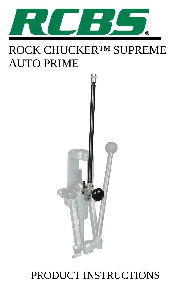

# ROCK CHUCKER™ SUPREME AUTO PRIME



# PRODUCT INSTRUCTIONS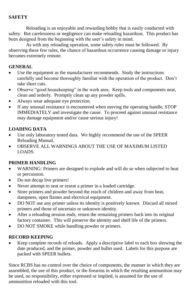### **SAFETY**

Reloading is an enjoyable and rewarding hobby that is easily conducted with safety. But carelessness or negligence can make reloading hazardous. This product has been designed from the beginning with the user's safety in mind.

As with any reloading operation, some safety rules must be followed. By observing these few rules, the chance of hazardous occurrence causing damage or injury becomes extremely remote.

#### **GENERAL**

- Use the equipment as the manufacturer recommends. Study the instructions carefully and become thoroughly familiar with the operation of the product. Don't take short cuts.
- Observe "good housekeeping" in the work area. Keep tools and components neat, clean and orderly. Promptly clean up any powder spills.
- Always wear adequate eye protection.
- If any unusual resistance is encountered when moving the operating handle, STOP IMMEDIATELY and investigate the cause. To proceed against unusual resistance may damage equipment and/or cause serious injury!

### **LOADING DATA**

- Use only laboratory tested data. We highly recommend the use of the SPEER Reloading Manual.
- OBSERVE ALL WARNINGS ABOUT THE USE OF MAXIMUM LISTED LOADS.

#### **PRIMER HANDLING**

- WARNING: Primers are designed to explode and will do so when subjected to heat or percussion.
- Do not decap live primers!
- Never attempt to seat or reseat a primer in a loaded cartridge.
- Store primers and powder beyond the reach of children and away from heat, dampness, open flames and electrical equipment.
- DO NOT use any primer unless its identity is positively known. Discard all mixed primers and those of uncertain or unknown identity.
- After a reloading session ends, return the remaining primers back into its original factory container. This will preserve the identity and shelf life of the primers.
- DO NOT SMOKE while handling powder or primers.

#### **RECORD KEEPING**

Keep complete records of reloads. Apply a descriptive label to each box showing the date produced, and the primer, powder and bullet used. Labels for this purpose are packed with SPEER bullets.

Since RCBS has no control over the choice of components, the manner in which they are assembled, the use of this product, or the firearms in which the resulting ammunition may be used, no responsibility, either expressed or implied, is assumed for the use of ammunition reloaded with this tool.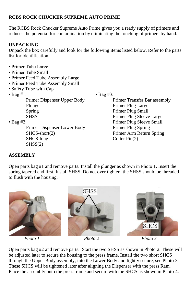### **RCBS ROCK CHUCKER SUPREME AUTO PRIME**

The RCBS Rock Chucker Supreme Auto Prime gives you a ready supply of primers and reduces the potential for contamination by eliminating the touching of primers by hand.

#### **UNPACKING**

Unpack the box carefully and look for the following items listed below. Refer to the parts list for identification.

- Primer Tube Large • Primer Tube Small
- Primer Feed Tube Assembly Large
- Primer Feed Tube Assembly Small
- Safety Tube with Cap
- 

Plunger Plug Large Spring Primer Plug Small SHSS Primer Plug Sleeve Large

Primer Dispenser Lower Body Primer Plug Spring SHCS-short(2) Primer Arm Return Spring SHCS-long Cotter Pin(2)  $SHSS(2)$ 

• Bag  $#1$ : • Bag  $#3$ :

Primer Dispenser Upper Body Primer Transfer Bar assembly • Bag #2: Primer Plug Sleeve Small

### **ASSEMBLY**

Open parts bag #1 and remove parts. Install the plunger as shown in Photo 1. Insert the spring tapered end first. Install SHSS. Do not over tighten, the SHSS should be threaded to flush with the housing.



Open parts bag #2 and remove parts. Start the two SHSS as shown in Photo 2. These will be adjusted later to secure the housing to the press frame. Install the two short SHCS through the Upper Body assembly, into the Lower Body and lightly secure, see Photo 3. These SHCS will be tightened later after aligning the Dispenser with the press Ram. Place the assembly onto the press frame and secure with the SHCS as shown in Photo 4.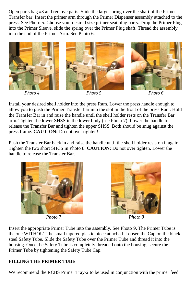Open parts bag #3 and remove parts. Slide the large spring over the shaft of the Primer Transfer bar. Insert the primer arm through the Primer Dispenser assembly attached to the press. See Photo 5. Choose your desired size primer seat plug parts. Drop the Primer Plug into the Primer Sleeve, slide the spring over the Primer Plug shaft. Thread the assembly into the end of the Primer Arm. See Photo 6.





Install your desired shell holder into the press Ram. Lower the press handle enough to allow you to push the Primer Transfer bar into the slot in the front of the press Ram. Hold the Transfer Bar in and raise the handle until the shell holder rests on the Transfer Bar arm. Tighten the lower SHSS in the lower body (see Photo 7). Lower the handle to release the Transfer Bar and tighten the upper SHSS. Both should be snug against the press frame. **CAUTION:** Do not over tighten!

Push the Transfer Bar back in and raise the handle until the shell holder rests on it again. Tighten the two short SHCS in Photo 8. **CAUTION:** Do not over tighten. Lower the handle to release the Transfer Bar.



 *Photo 7 Photo 8*



Insert the appropriate Primer Tube into the assembly. See Photo 9. The Primer Tube is the one WITHOUT the small tapered plastic piece attached. Loosen the Cap on the black steel Safety Tube. Slide the Safety Tube over the Primer Tube and thread it into the housing. Once the Safety Tube is completely threaded onto the housing, secure the Primer Tube by tightening the Safety Tube Cap.

# **FILLING THE PRIMER TUBE**

We recommend the RCBS Primer Tray-2 to be used in conjunction with the primer feed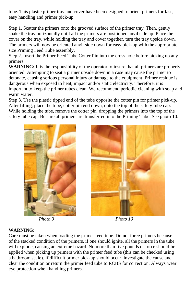tube. This plastic primer tray and cover have been designed to orient primers for fast, easy handling and primer pick-up.

Step 1. Scatter the primers onto the grooved surface of the primer tray. Then, gently shake the tray horizontally until all the primers are positioned anvil side up. Place the cover on the tray, while holding the tray and cover together, turn the tray upside down. The primers will now be oriented anvil side down for easy pick-up with the appropriate size Priming Feed Tube assembly.

Step 2. Insert the Primer Feed Tube Cotter Pin into the cross hole before picking up any primers.

**WARNING:** It is the responsibility of the operator to insure that all primers are properly oriented. Attempting to seat a primer upside down in a case may cause the primer to detonate, causing serious personal injury or damage to the equipment. Primer residue is dangerous when exposed to heat, impact and/or static electricity. Therefore, it is important to keep the primer tubes clean. We recommend periodic cleaning with soap and warm water.

Step 3. Use the plastic tipped end of the tube opposite the cotter pin for primer pick-up. After filling, place the tube, cotter pin end down, onto the top of the safety tube cap. While holding the tube, remove the cotter pin, dropping the primers into the top of the safety tube cap. Be sure all primers are transferred into the Priming Tube. See photo 10.







### **WARNING:**

Care must be taken when loading the primer feed tube. Do not force primers because of the stacked condition of the primers, if one should ignite, all the primers in the tube will explode, causing an extreme hazard. No more than five pounds of force should be applied when picking up primers with the primer feed tube (this can be checked using a bathroom scale). If difficult primer pick-up should occur, investigate the cause and clear the condition or return the primer feed tube to RCBS for correction. Always wear eye protection when handling primers.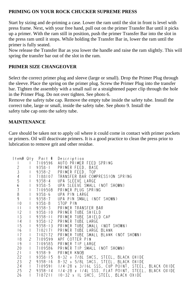#### **PRIMING ON YOUR ROCK CHUCKER SUPREME PRESS**

Start by sizing and de-priming a case. Lower the ram until the slot in front is level with press frame. Next, with your free hand, pull out on the primer Transfer Bar until it picks up a primer. With the ram still in position, push the primer Transfer Bar into the slot in the press ram until it stops. While holding the Transfer Bar in, lower the ram until the primer is fully seated.

Now release the Transfer Bar as you lower the handle and raise the ram slightly. This will spring the transfer bar out of the slot in the ram.

#### **PRIMER SIZE CHANGEOVER**

Select the correct primer plug and sleeve (large or small). Drop the Primer Plug through the sleeve. Place the spring on the primer plug. Screw the Primer Plug into the transfer bar. Tighten the assembly with a small nail or a straightened paper clip through the hole in the Primer Plug. Do not over tighten. See photo 6.

Remove the safety tube cap. Remove the empty tube inside the safety tube. Install the correct tube, large or small, inside the safety tube. See photo 9. Install the safety tube cap onto the safety tube.

#### **MAINTENANCE**

Care should be taken not to apply oil where it could come in contact with primer pockets or primers. Oil will deactivate primers. It is a good practice to clean the press prior to lubrication to remove grit and other residue.

|          |                | ltem# Qtyl Port #l | Description                                                   |
|----------|----------------|--------------------|---------------------------------------------------------------|
|          |                | 7109596            | AUTO PRIMER FEED SPRING                                       |
|          |                | 9358-1             | PRIMER FEED, BASE                                             |
|          | $\mathbf{L}$   |                    | 9358-2 PRIMER FEED, TOP                                       |
|          |                | 1 7188107          | - TRANSFER BAR COMPRESSION SPRING                             |
|          |                |                    | - 9358-4 - UPA SLEEVE LARGE                                   |
|          |                |                    | 1 9358-5 UPA SLEEVE SMALL (NOT SHOWN)                         |
|          |                | 1 7109508          | PRIMER PLUG SPRING                                            |
|          |                |                    | I 9358-6 UPA PIN LARGE                                        |
| 23456789 |                |                    | - 9358-7 - UPA PIN SMALL (NOT SHOWN)                          |
| $\pm 0$  |                | 1 9358-8 STOP PIN  |                                                               |
| П        |                |                    | 1 9358-3 PRIMER TRANSFER BAR                                  |
| $^{12}$  |                | $1\quad 9358 - 10$ | PRIMER TUBE SHIELD                                            |
| 13       |                |                    | 1 9358-TT PRIMER TUBE SHIELD CAP                              |
| 14       |                |                    | 1 9358-12 PRIMER TUBE LARGE                                   |
| 15       |                |                    | -1 9358–13 PRIMER TUBE SMALL (NOT SHOWN)                      |
| 16       |                | $1 - 7102171$      | PRIMER TUBE LARGE BLANK                                       |
| 7        | $\Box$         | - 7102172          | - PRIMER TUBE SMALL BLANK (NOT SHOWN)                         |
| 18       | $\overline{c}$ | 7109599            | APF COTTER PIN                                                |
| 19       | a Tan          | 7109585            | PRIMER TIP LARGE                                              |
| 20       | $\mathbf{L}$   | 7109586            | PRIMER TIP SMALL (NOT SHOWN)                                  |
| 21       | - Lo           |                    | 9358-9 PRIMER KNOB                                            |
| 22       |                |                    | - 1 9358–15 8–32 x 7/8L SHCS, STEEL, BLACK OXIDE              |
| 23       |                |                    | 2 9358-16 8-32 x 5/8L SHCS, STEEL, BLACK OXIDE                |
| 24       |                |                    | -1 7109591 -174–28 x 3716L SSS, CUP POINT, STEEL, BLACK OXIDE |
| 25       |                | $2$ 9358-14        | - 174–28 x 174L SSS, FLAT POINT, STEEL,<br>-BLACK OXIDE       |
| 26       | $\mathbb{L}$   |                    | 7187211 10-32 x IL SHCS, STEEL, BLACK OXIDE                   |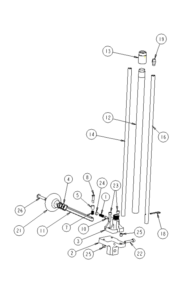